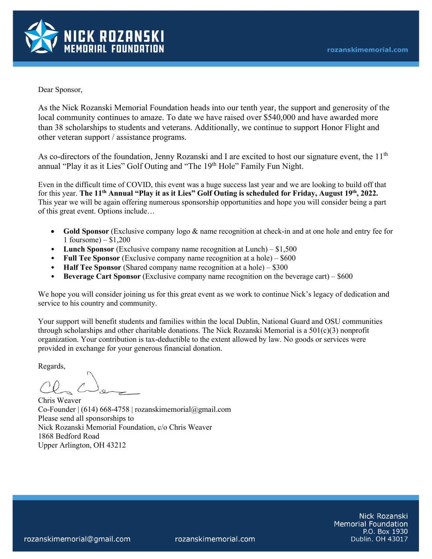

Dear Sponsor,

As the Nick Rozanski Memorial Foundation heads into our tenth year, the support and generosity of the local community continues to amaze. To date we have raised over \$540,000 and have awarded more than 38 scholarships to students and veterans. Additionally, we continue to support Honor Flight and other veteran support / assistance programs.

As co-directors of the foundation, Jenny Rozanski and I are excited to host our signature event, the  $11<sup>th</sup>$ annual "Play it as it Lies" Golf Outing and "The 19<sup>th</sup> Hole" Family Fun Night.

Even in the difficult time of COVID, this event was a huge success last year and we are looking to build off that for this year. **The 11th Annual "Play it as it Lies" Golf Outing is scheduled for Friday, August 19th, 2022.**  This year we will be again offering numerous sponsorship opportunities and hope you will consider being a part of this great event. Options include…

- **Gold Sponsor** (Exclusive company logo & name recognition at check-in and at one hole and entry fee for 1 foursome) – \$1,200
- **Lunch Sponsor** (Exclusive company name recognition at Lunch) \$1,500
- **Full Tee Sponsor** (Exclusive company name recognition at a hole) \$600
- **Half Tee Sponsor** (Shared company name recognition at a hole) \$300
- **Beverage Cart Sponsor** (Exclusive company name recognition on the beverage cart) \$600

We hope you will consider joining us for this great event as we work to continue Nick's legacy of dedication and service to his country and community.

Your support will benefit students and families within the local Dublin, National Guard and OSU communities through scholarships and other charitable donations. The Nick Rozanski Memorial is a  $501(c)(3)$  nonprofit organization. Your contribution is tax-deductible to the extent allowed by law. No goods or services were provided in exchange for your generous financial donation.

Regards,

Chris Weaver Co-Founder  $(614)$  668-4758 | rozanskimemorial@gmail.com Please send all sponsorships to Nick Rozanski Memorial Foundation, c/o Chris Weaver 1868 Bedford Road Upper Arlington, OH 43212

> Nick Rozanski **Memorial Foundation** P.O. Box 1930 Dublin, OH 43017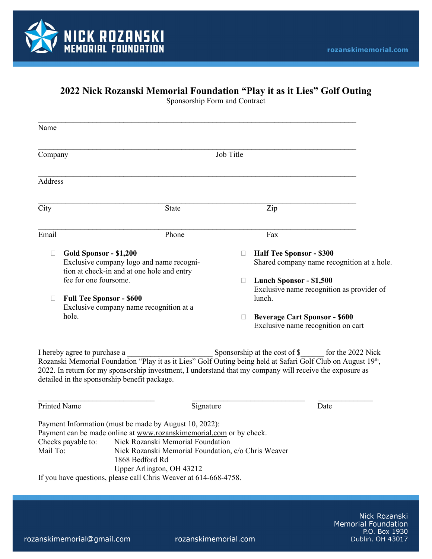

## **2022 Nick Rozanski Memorial Foundation "Play it as it Lies" Golf Outing**

| Name           |                                                                                                                  |        |                                                                               |
|----------------|------------------------------------------------------------------------------------------------------------------|--------|-------------------------------------------------------------------------------|
| Company        | Job Title                                                                                                        |        |                                                                               |
| <b>Address</b> |                                                                                                                  |        |                                                                               |
| City           | <b>State</b>                                                                                                     |        | Zip                                                                           |
| Email          | Phone                                                                                                            |        | Fax                                                                           |
|                | Gold Sponsor - \$1,200<br>Exclusive company logo and name recogni-<br>tion at check-in and at one hole and entry | $\Box$ | <b>Half Tee Sponsor - \$300</b><br>Shared company name recognition at a hole. |
|                | fee for one foursome.                                                                                            | □      | Lunch Sponsor - \$1,500<br>Exclusive name recognition as provider of          |
| $\Box$         | <b>Full Tee Sponsor - \$600</b><br>Exclusive company name recognition at a                                       |        | lunch.                                                                        |
| hole.          |                                                                                                                  | □      | <b>Beverage Cart Sponsor - \$600</b><br>Exclusive name recognition on cart    |

Sponsorship Form and Contract

I hereby agree to purchase a \_\_\_\_\_\_\_\_\_\_\_\_\_\_\_\_\_\_\_\_\_\_\_\_\_\_\_\_\_\_\_\_Sponsorship at the cost of \$\_\_\_\_\_\_\_ for the 2022 Nick Rozanski Memorial Foundation "Play it as it Lies" Golf Outing being held at Safari Golf Club on August 19th, 2022. In return for my sponsorship investment, I understand that my company will receive the exposure as detailed in the sponsorship benefit package.

\_\_\_\_\_\_\_\_\_\_\_\_\_\_\_\_\_\_\_\_\_\_\_\_\_\_\_\_\_\_ \_\_\_\_\_\_\_\_\_\_\_\_\_\_\_\_\_\_\_\_\_\_\_\_\_\_\_\_\_ \_\_\_\_\_\_\_\_\_\_\_\_\_\_

| Printed Name       | Signature                                                           | Date |
|--------------------|---------------------------------------------------------------------|------|
|                    | Payment Information (must be made by August 10, 2022):              |      |
|                    | Payment can be made online at www.rozanskimemorial.com or by check. |      |
| Checks payable to: | Nick Rozanski Memorial Foundation                                   |      |
| Mail To:           | Nick Rozanski Memorial Foundation, c/o Chris Weaver                 |      |
|                    | 1868 Bedford Rd                                                     |      |
|                    | Upper Arlington, OH 43212                                           |      |
|                    | If you have questions, please call Chris Weaver at 614-668-4758.    |      |

Nick Rozanski **Memorial Foundation** P.O. Box 1930 Dublin, OH 43017